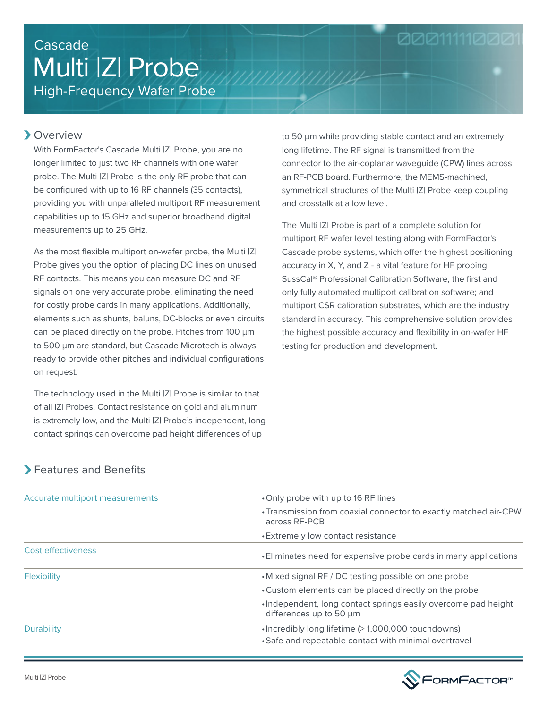# High-Frequency Wafer Probe Multi |Z| Probe Cascade

### **>**Overview

With FormFactor's Cascade Multi |Z| Probe, you are no longer limited to just two RF channels with one wafer probe. The Multi |Z| Probe is the only RF probe that can be configured with up to 16 RF channels (35 contacts), providing you with unparalleled multiport RF measurement capabilities up to 15 GHz and superior broadband digital measurements up to 25 GHz.

As the most flexible multiport on-wafer probe, the Multi  $|Z|$ Probe gives you the option of placing DC lines on unused RF contacts. This means you can measure DC and RF signals on one very accurate probe, eliminating the need for costly probe cards in many applications. Additionally, elements such as shunts, baluns, DC-blocks or even circuits can be placed directly on the probe. Pitches from 100 μm to 500 μm are standard, but Cascade Microtech is always ready to provide other pitches and individual configurations on request.

The technology used in the Multi |Z| Probe is similar to that of all |Z| Probes. Contact resistance on gold and aluminum is extremely low, and the Multi |Z| Probe's independent, long contact springs can overcome pad height differences of up

to 50 μm while providing stable contact and an extremely long lifetime. The RF signal is transmitted from the connector to the air-coplanar waveguide (CPW) lines across an RF-PCB board. Furthermore, the MEMS-machined, symmetrical structures of the Multi |Z| Probe keep coupling and crosstalk at a low level.

00011111000

The Multi |Z| Probe is part of a complete solution for multiport RF wafer level testing along with FormFactor's Cascade probe systems, which offer the highest positioning accuracy in X, Y, and Z - a vital feature for HF probing; SussCal® Professional Calibration Software, the first and only fully automated multiport calibration software; and multiport CSR calibration substrates, which are the industry standard in accuracy. This comprehensive solution provides the highest possible accuracy and flexibility in on-wafer HF testing for production and development.

# Features and Benefits

| Accurate multiport measurements | •Only probe with up to 16 RF lines                                                        |
|---------------------------------|-------------------------------------------------------------------------------------------|
|                                 | • Transmission from coaxial connector to exactly matched air-CPW<br>across RF-PCB         |
|                                 | • Extremely low contact resistance                                                        |
| Cost effectiveness              | • Eliminates need for expensive probe cards in many applications                          |
| <b>Flexibility</b>              | • Mixed signal RF / DC testing possible on one probe                                      |
|                                 | • Custom elements can be placed directly on the probe                                     |
|                                 | . Independent, long contact springs easily overcome pad height<br>differences up to 50 µm |
| Durability                      | •Incredibly long lifetime (> 1,000,000 touchdowns)                                        |
|                                 | • Safe and repeatable contact with minimal overtravel                                     |

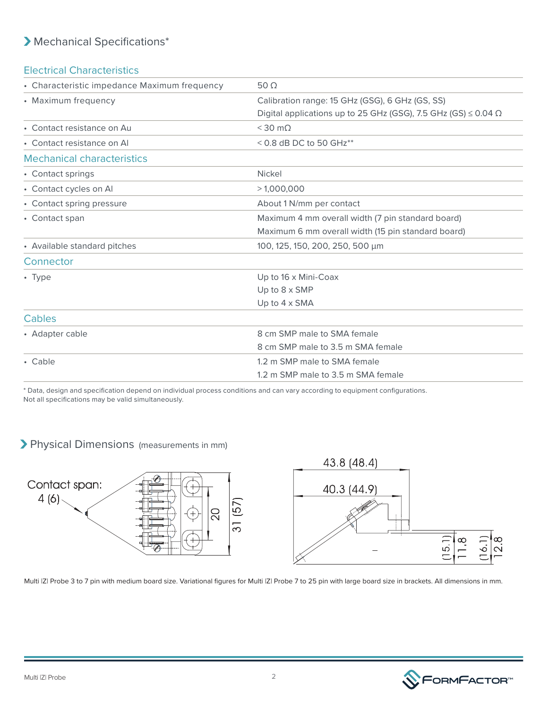# Mechanical Specifications\*

#### Electrical Characteristics

| • Characteristic impedance Maximum frequency | 50 $\Omega$                                                                |
|----------------------------------------------|----------------------------------------------------------------------------|
| • Maximum frequency                          | Calibration range: 15 GHz (GSG), 6 GHz (GS, SS)                            |
|                                              | Digital applications up to 25 GHz (GSG), 7.5 GHz (GS) $\leq$ 0.04 $\Omega$ |
| • Contact resistance on Au                   | $<$ 30 m $\Omega$                                                          |
| • Contact resistance on Al                   | $<$ 0.8 dB DC to 50 GHz $**$                                               |
| <b>Mechanical characteristics</b>            |                                                                            |
| • Contact springs                            | <b>Nickel</b>                                                              |
| • Contact cycles on Al                       | >1,000,000                                                                 |
| • Contact spring pressure                    | About 1 N/mm per contact                                                   |
| • Contact span                               | Maximum 4 mm overall width (7 pin standard board)                          |
|                                              | Maximum 6 mm overall width (15 pin standard board)                         |
| • Available standard pitches                 | 100, 125, 150, 200, 250, 500 µm                                            |
| Connector                                    |                                                                            |
| $\cdot$ Type                                 | Up to 16 x Mini-Coax                                                       |
|                                              | Up to $8 \times$ SMP                                                       |
|                                              | Up to $4 \times$ SMA                                                       |
| Cables                                       |                                                                            |
| • Adapter cable                              | 8 cm SMP male to SMA female                                                |
|                                              | 8 cm SMP male to 3.5 m SMA female                                          |
| • Cable                                      | 1.2 m SMP male to SMA female                                               |
|                                              | 1.2 m SMP male to 3.5 m SMA female                                         |

\* Data, design and specification depend on individual process conditions and can vary according to equipment configurations. Not all specifications may be valid simultaneously.

## Physical Dimensions (measurements in mm)



Multi IZI Probe 3 to 7 pin with medium board size. Variational figures for Multi IZI Probe 7 to 25 pin with large board size in brackets. All dimensions in mm.